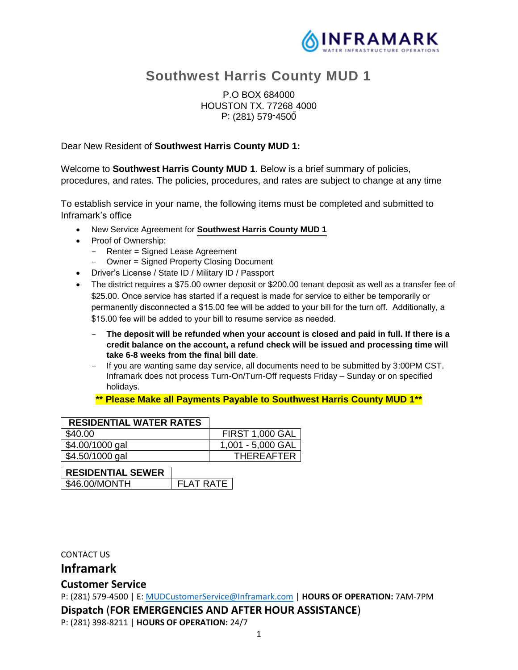

# **Southwest Harris County MUD 1**

## P.O BOX 684000 HOUSTON TX. 77268 4000 - P: (281) 579-4500

#### Dear New Resident of **Southwest Harris County MUD 1:**

Welcome to **Southwest Harris County MUD 1**. Below is a brief summary of policies, procedures, and rates. The policies, procedures, and rates are subject to change at any time

To establish service in your name, the following items must be completed and submitted to Inframark's office

- New Service Agreement for **Southwest Harris County MUD 1**
- Proof of Ownership:
	- Renter = Signed Lease Agreement
	- Owner = Signed Property Closing Document
- Driver's License / State ID / Military ID / Passport
- The district requires a \$75.00 owner deposit or \$200.00 tenant deposit as well as a transfer fee of \$25.00. Once service has started if a request is made for service to either be temporarily or permanently disconnected a \$15.00 fee will be added to your bill for the turn off. Additionally, a \$15.00 fee will be added to your bill to resume service as needed.
	- **The deposit will be refunded when your account is closed and paid in full. If there is a credit balance on the account, a refund check will be issued and processing time will take 6-8 weeks from the final bill date**.
	- If you are wanting same day service, all documents need to be submitted by 3:00PM CST. Inframark does not process Turn-On/Turn-Off requests Friday – Sunday or on specified holidays.

#### **\*\* Please Make all Payments Payable to Southwest Harris County MUD 1\*\***

| <b>RESIDENTIAL WATER RATES</b> |                  |  |                        |
|--------------------------------|------------------|--|------------------------|
| \$40.00                        |                  |  | <b>FIRST 1,000 GAL</b> |
| \$4.00/1000 gal                |                  |  | 1,001 - 5,000 GAL      |
| \$4.50/1000 gal                |                  |  | <b>THEREAFTER</b>      |
| <b>RESIDENTIAL SEWER</b>       |                  |  |                        |
| \$46.00/MONTH                  | <b>FLAT RATE</b> |  |                        |

CONTACT US

**Inframark**

## **Customer Service**

P: (281) 579-4500 | E: MUDCustomerService@Inframark.com | **HOURS OF OPERATION:** 7AM-7PM **Dispatch** (**FOR EMERGENCIES AND AFTER HOUR ASSISTANCE**)

P: (281) 398-8211 | **HOURS OF OPERATION:** 24/7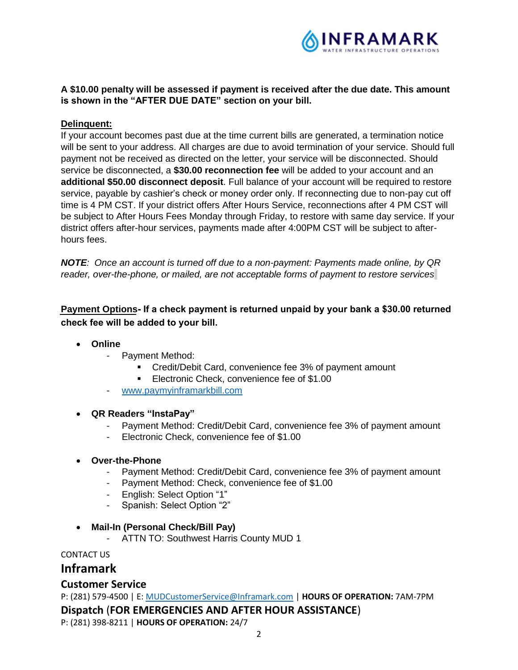

## **A \$10.00 penalty will be assessed if payment is received after the due date. This amount is shown in the "AFTER DUE DATE" section on your bill.**

## **Delinquent:**

If your account becomes past due at the time current bills are generated, a termination notice will be sent to your address. All charges are due to avoid termination of your service. Should full payment not be received as directed on the letter, your service will be disconnected. Should service be disconnected, a **\$30.00 reconnection fee** will be added to your account and an **additional \$50.00 disconnect deposit**. Full balance of your account will be required to restore service, payable by cashier's check or money order only. If reconnecting due to non-pay cut off time is 4 PM CST. If your district offers After Hours Service, reconnections after 4 PM CST will be subject to After Hours Fees Monday through Friday, to restore with same day service. If your district offers after-hour services, payments made after 4:00PM CST will be subject to afterhours fees.

*NOTE: Once an account is turned off due to a non-payment: Payments made online, by QR reader, over-the-phone, or mailed, are not acceptable forms of payment to restore services.* 

**Payment Options If a check payment is returned unpaid by your bank a \$30.00 returned check fee will be added to your bill.**

- **Online**
	- Payment Method:
		- **•** Credit/Debit Card, convenience fee 3% of payment amount
		- Electronic Check, convenience fee of \$1.00
	- www.paymyinframarkbill.com

#### **QR Readers "InstaPay"**

- Payment Method: Credit/Debit Card, convenience fee 3% of payment amount
- Electronic Check, convenience fee of \$1.00
- **Over-the-Phone**
	- Payment Method: Credit/Debit Card, convenience fee 3% of payment amount
	- Payment Method: Check, convenience fee of \$1.00
	- English: Select Option "1"
	- Spanish: Select Option "2"
- **Mail-In (Personal Check/Bill Pay)**
	- ATTN TO: Southwest Harris County MUD 1

CONTACT US

# **Inframark**

## **Customer Service**

P: (281) 579-4500 | E: MUDCustomerService@Inframark.com | **HOURS OF OPERATION:** 7AM-7PM

**Dispatch** (**FOR EMERGENCIES AND AFTER HOUR ASSISTANCE**)

P: (281) 398-8211 | **HOURS OF OPERATION:** 24/7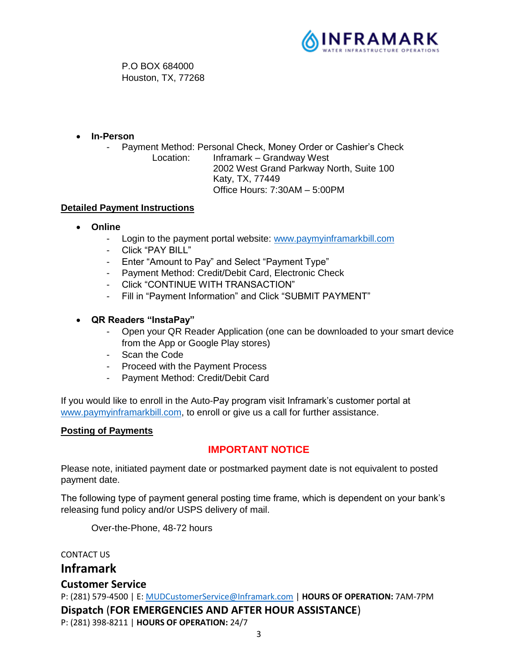

P.O BOX 684000 Houston, TX, 77268

**In-Person**

Payment Method: Personal Check, Money Order or Cashier's Check Location: Inframark – Grandway West 2002 West Grand Parkway North, Suite 100 Katy, TX, 77449 Office Hours: 7:30AM – 5:00PM

## **Detailed Payment Instructions**

- **Online**
	- Login to the payment portal website: www.paymyinframarkbill.com
	- Click "PAY BILL"
	- Enter "Amount to Pay" and Select "Payment Type"
	- Payment Method: Credit/Debit Card, Electronic Check
	- Click "CONTINUE WITH TRANSACTION"
	- Fill in "Payment Information" and Click "SUBMIT PAYMENT"
- **QR Readers "InstaPay"**
	- Open your QR Reader Application (one can be downloaded to your smart device from the App or Google Play stores)
	- Scan the Code
	- Proceed with the Payment Process
	- Payment Method: Credit/Debit Card

If you would like to enroll in the Auto-Pay program visit Inframark's customer portal at www.paymyinframarkbill.com, to enroll or give us a call for further assistance.

## **Posting of Payments**

# **IMPORTANT NOTICE**

Please note, initiated payment date or postmarked payment date is not equivalent to posted payment date.

The following type of payment general posting time frame, which is dependent on your bank's releasing fund policy and/or USPS delivery of mail.

Over-the-Phone, 48-72 hours

CONTACT US

# **Inframark**

# **Customer Service**

P: (281) 579-4500 | E: MUDCustomerService@Inframark.com | **HOURS OF OPERATION:** 7AM-7PM **Dispatch** (**FOR EMERGENCIES AND AFTER HOUR ASSISTANCE**) P: (281) 398-8211 | **HOURS OF OPERATION:** 24/7